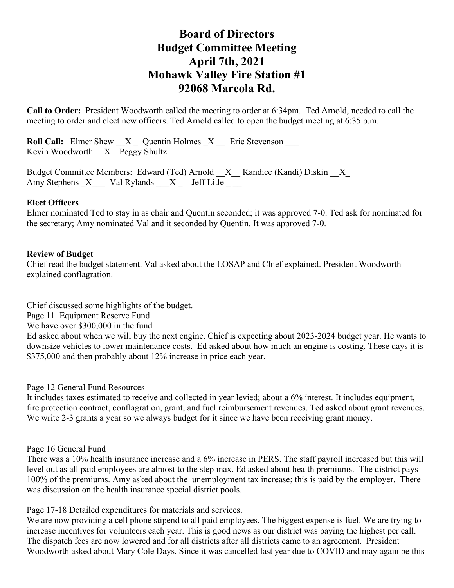# **Board of Directors Budget Committee Meeting April 7th, 2021 Mohawk Valley Fire Station #1 92068 Marcola Rd.**

**Call to Order:** President Woodworth called the meeting to order at 6:34pm. Ted Arnold, needed to call the meeting to order and elect new officers. Ted Arnold called to open the budget meeting at 6:35 p.m.

**Roll Call:** Elmer Shew  $X_$  Quentin Holmes  $X_$  Eric Stevenson Kevin Woodworth  $X$  Peggy Shultz

Budget Committee Members: Edward (Ted) Arnold  $X$  Kandice (Kandi) Diskin X Amy Stephens  $X$  Val Rylands  $X$  Jeff Litle

### **Elect Officers**

Elmer nominated Ted to stay in as chair and Quentin seconded; it was approved 7-0. Ted ask for nominated for the secretary; Amy nominated Val and it seconded by Quentin. It was approved 7-0.

### **Review of Budget**

Chief read the budget statement. Val asked about the LOSAP and Chief explained. President Woodworth explained conflagration.

Chief discussed some highlights of the budget.

Page 11 Equipment Reserve Fund

We have over \$300,000 in the fund

Ed asked about when we will buy the next engine. Chief is expecting about 2023-2024 budget year. He wants to downsize vehicles to lower maintenance costs. Ed asked about how much an engine is costing. These days it is \$375,000 and then probably about 12% increase in price each year.

Page 12 General Fund Resources

It includes taxes estimated to receive and collected in year levied; about a 6% interest. It includes equipment, fire protection contract, conflagration, grant, and fuel reimbursement revenues. Ted asked about grant revenues. We write 2-3 grants a year so we always budget for it since we have been receiving grant money.

#### Page 16 General Fund

There was a 10% health insurance increase and a 6% increase in PERS. The staff payroll increased but this will level out as all paid employees are almost to the step max. Ed asked about health premiums. The district pays 100% of the premiums. Amy asked about the unemployment tax increase; this is paid by the employer. There was discussion on the health insurance special district pools.

Page 17-18 Detailed expenditures for materials and services.

We are now providing a cell phone stipend to all paid employees. The biggest expense is fuel. We are trying to increase incentives for volunteers each year. This is good news as our district was paying the highest per call. The dispatch fees are now lowered and for all districts after all districts came to an agreement. President Woodworth asked about Mary Cole Days. Since it was cancelled last year due to COVID and may again be this